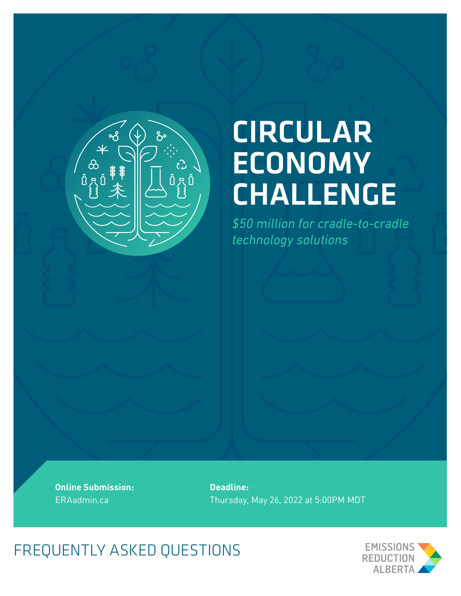

# **CIRCULAR ECONOMY CHALLENGE**

\$50 million for cradle-to-cradle technology solutions

**Online Submission:**  ERAadmin.ca

**Deadline:**  Thursday, May 26, 2022 at 5:00PM MDT

FREQUENTLY ASKED QUESTIONS

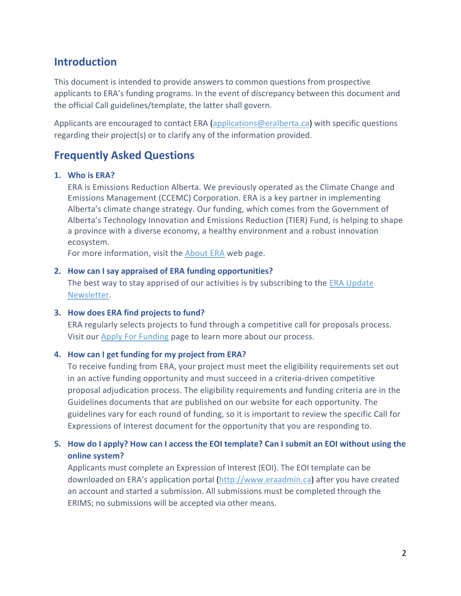# **Introduction**

This document is intended to provide answers to common questions from prospective applicants to ERA's funding programs. In the event of discrepancy between this document and the official Call guidelines/template, the latter shall govern.

Applicants are encouraged to contact ERA [\(applications@eralberta.ca\)](mailto:applications@eralberta.ca) with specific questions regarding their project(s) or to clarify any of the information provided.

# **Frequently Asked Questions**

#### **1. Who is ERA?**

ERA is Emissions Reduction Alberta. We previously operated as the Climate Change and Emissions Management (CCEMC) Corporation. ERA is a key partner in implementing Alberta's climate change strategy. Our funding, which comes from the Government of Alberta's Technology Innovation and Emissions Reduction (TIER) Fund, is helping to shape a province with a diverse economy, a healthy environment and a robust innovation ecosystem.

For more information, visit the [About](https://eralberta.ca/about-era/) ERA web page.

#### **2. How can I say appraised of ERA funding opportunities?**

The best way to stay apprised of our activities is by subscribing to the [ERA Update](https://eralberta.ca/newsletter/)  [Newsletter.](https://eralberta.ca/newsletter/)

#### **3. How does ERA find projects to fund?**

ERA regularly selects projects to fund through a competitive call for proposals process. Visit our [Apply For Funding](https://eralberta.ca/apply-for-funding/) page to learn more about our process.

#### **4. How can I get funding for my project from ERA?**

To receive funding from ERA, your project must meet the eligibility requirements set out in an active funding opportunity and must succeed in a criteria-driven competitive proposal adjudication process. The eligibility requirements and funding criteria are in the Guidelines documents that are published on our website for each opportunity. The guidelines vary for each round of funding, so it is important to review the specific Call for Expressions of Interest document for the opportunity that you are responding to.

# **5. How do I apply? How can I access the EOI template? Can I submit an EOI without using the online system?**

Applicants must complete an Expression of Interest (EOI). The EOI template can be downloaded on ERA's application portal [\(http://www.eraadmin.ca\)](http://www.eraadmin.ca/) after you have created an account and started a submission. All submissions must be completed through the ERIMS; no submissions will be accepted via other means.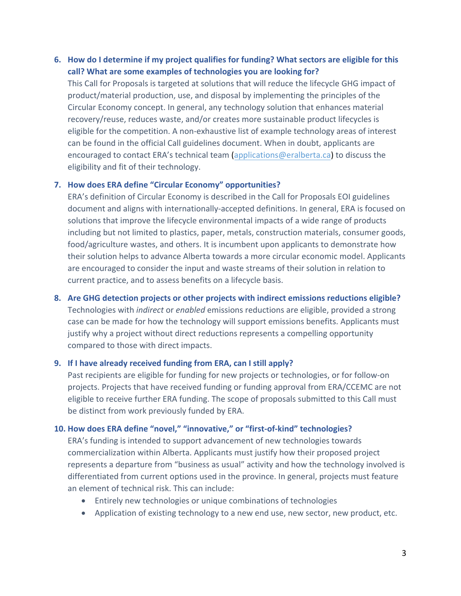## **6. How do I determine if my project qualifies for funding? What sectors are eligible for this call? What are some examples of technologies you are looking for?**

This Call for Proposals is targeted at solutions that will reduce the lifecycle GHG impact of product/material production, use, and disposal by implementing the principles of the Circular Economy concept. In general, any technology solution that enhances material recovery/reuse, reduces waste, and/or creates more sustainable product lifecycles is eligible for the competition. A non-exhaustive list of example technology areas of interest can be found in the official Call guidelines document. When in doubt, applicants are encouraged to contact ERA's technical team [\(applications@eralberta.ca\)](mailto:applications@eralberta.ca) to discuss the eligibility and fit of their technology.

#### **7. How does ERA define "Circular Economy" opportunities?**

ERA's definition of Circular Economy is described in the Call for Proposals EOI guidelines document and aligns with internationally-accepted definitions. In general, ERA is focused on solutions that improve the lifecycle environmental impacts of a wide range of products including but not limited to plastics, paper, metals, construction materials, consumer goods, food/agriculture wastes, and others. It is incumbent upon applicants to demonstrate how their solution helps to advance Alberta towards a more circular economic model. Applicants are encouraged to consider the input and waste streams of their solution in relation to current practice, and to assess benefits on a lifecycle basis.

# **8. Are GHG detection projects or other projects with indirect emissions reductions eligible?** Technologies with *indirect* or *enabled* emissions reductions are eligible, provided a strong case can be made for how the technology will support emissions benefits. Applicants must justify why a project without direct reductions represents a compelling opportunity compared to those with direct impacts.

#### **9. If I have already received funding from ERA, can I still apply?**

Past recipients are eligible for funding for new projects or technologies, or for follow-on projects. Projects that have received funding or funding approval from ERA/CCEMC are not eligible to receive further ERA funding. The scope of proposals submitted to this Call must be distinct from work previously funded by ERA.

## **10. How does ERA define "novel," "innovative," or "first-of-kind" technologies?**

ERA's funding is intended to support advancement of new technologies towards commercialization within Alberta. Applicants must justify how their proposed project represents a departure from "business as usual" activity and how the technology involved is differentiated from current options used in the province. In general, projects must feature an element of technical risk. This can include:

- Entirely new technologies or unique combinations of technologies
- Application of existing technology to a new end use, new sector, new product, etc.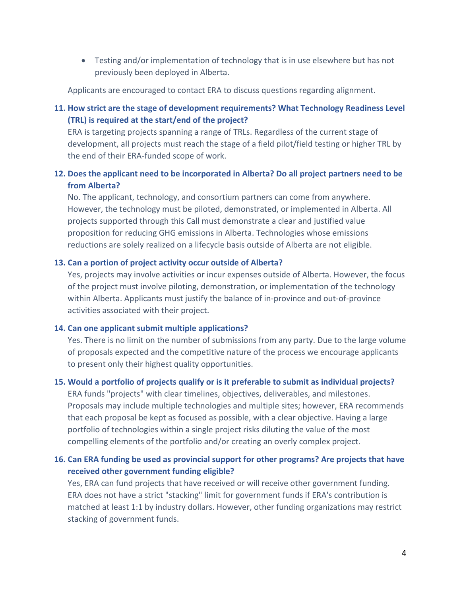• Testing and/or implementation of technology that is in use elsewhere but has not previously been deployed in Alberta.

Applicants are encouraged to contact ERA to discuss questions regarding alignment.

# **11. How strict are the stage of development requirements? What Technology Readiness Level (TRL) is required at the start/end of the project?**

ERA is targeting projects spanning a range of TRLs. Regardless of the current stage of development, all projects must reach the stage of a field pilot/field testing or higher TRL by the end of their ERA-funded scope of work.

# **12. Does the applicant need to be incorporated in Alberta? Do all project partners need to be from Alberta?**

No. The applicant, technology, and consortium partners can come from anywhere. However, the technology must be piloted, demonstrated, or implemented in Alberta. All projects supported through this Call must demonstrate a clear and justified value proposition for reducing GHG emissions in Alberta. Technologies whose emissions reductions are solely realized on a lifecycle basis outside of Alberta are not eligible.

#### **13. Can a portion of project activity occur outside of Alberta?**

Yes, projects may involve activities or incur expenses outside of Alberta. However, the focus of the project must involve piloting, demonstration, or implementation of the technology within Alberta. Applicants must justify the balance of in-province and out-of-province activities associated with their project.

#### **14. Can one applicant submit multiple applications?**

Yes. There is no limit on the number of submissions from any party. Due to the large volume of proposals expected and the competitive nature of the process we encourage applicants to present only their highest quality opportunities.

#### **15. Would a portfolio of projects qualify or is it preferable to submit as individual projects?**

ERA funds "projects" with clear timelines, objectives, deliverables, and milestones. Proposals may include multiple technologies and multiple sites; however, ERA recommends that each proposal be kept as focused as possible, with a clear objective. Having a large portfolio of technologies within a single project risks diluting the value of the most compelling elements of the portfolio and/or creating an overly complex project.

# **16. Can ERA funding be used as provincial support for other programs? Are projects that have received other government funding eligible?**

Yes, ERA can fund projects that have received or will receive other government funding. ERA does not have a strict "stacking" limit for government funds if ERA's contribution is matched at least 1:1 by industry dollars. However, other funding organizations may restrict stacking of government funds.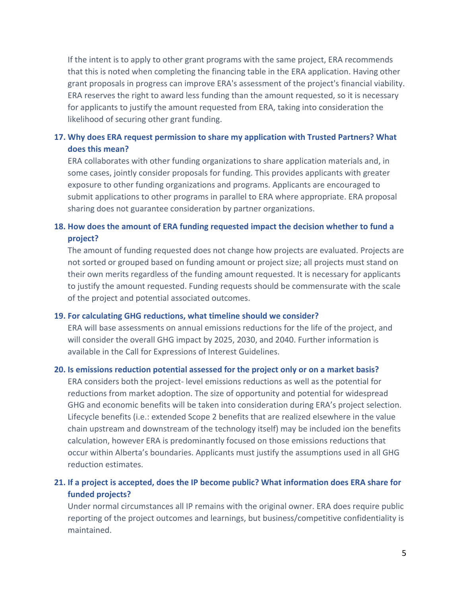If the intent is to apply to other grant programs with the same project, ERA recommends that this is noted when completing the financing table in the ERA application. Having other grant proposals in progress can improve ERA's assessment of the project's financial viability. ERA reserves the right to award less funding than the amount requested, so it is necessary for applicants to justify the amount requested from ERA, taking into consideration the likelihood of securing other grant funding.

# **17. Why does ERA request permission to share my application with Trusted Partners? What does this mean?**

ERA collaborates with other funding organizations to share application materials and, in some cases, jointly consider proposals for funding. This provides applicants with greater exposure to other funding organizations and programs. Applicants are encouraged to submit applications to other programs in parallel to ERA where appropriate. ERA proposal sharing does not guarantee consideration by partner organizations.

# **18. How does the amount of ERA funding requested impact the decision whether to fund a project?**

The amount of funding requested does not change how projects are evaluated. Projects are not sorted or grouped based on funding amount or project size; all projects must stand on their own merits regardless of the funding amount requested. It is necessary for applicants to justify the amount requested. Funding requests should be commensurate with the scale of the project and potential associated outcomes.

#### **19. For calculating GHG reductions, what timeline should we consider?**

ERA will base assessments on annual emissions reductions for the life of the project, and will consider the overall GHG impact by 2025, 2030, and 2040. Further information is available in the Call for Expressions of Interest Guidelines.

#### **20. Is emissions reduction potential assessed for the project only or on a market basis?**

ERA considers both the project- level emissions reductions as well as the potential for reductions from market adoption. The size of opportunity and potential for widespread GHG and economic benefits will be taken into consideration during ERA's project selection. Lifecycle benefits (i.e.: extended Scope 2 benefits that are realized elsewhere in the value chain upstream and downstream of the technology itself) may be included ion the benefits calculation, however ERA is predominantly focused on those emissions reductions that occur within Alberta's boundaries. Applicants must justify the assumptions used in all GHG reduction estimates.

# **21. If a project is accepted, does the IP become public? What information does ERA share for funded projects?**

Under normal circumstances all IP remains with the original owner. ERA does require public reporting of the project outcomes and learnings, but business/competitive confidentiality is maintained.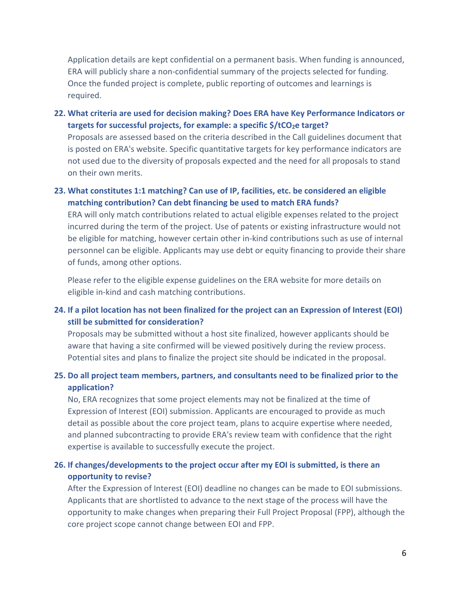Application details are kept confidential on a permanent basis. When funding is announced, ERA will publicly share a non-confidential summary of the projects selected for funding. Once the funded project is complete, public reporting of outcomes and learnings is required.

**22. What criteria are used for decision making? Does ERA have Key Performance Indicators or**  targets for successful projects, for example: a specific \$/tCO<sub>2</sub>e target?

Proposals are assessed based on the criteria described in the Call guidelines document that is posted on ERA's website. Specific quantitative targets for key performance indicators are not used due to the diversity of proposals expected and the need for all proposals to stand on their own merits.

# **23. What constitutes 1:1 matching? Can use of IP, facilities, etc. be considered an eligible matching contribution? Can debt financing be used to match ERA funds?**

ERA will only match contributions related to actual eligible expenses related to the project incurred during the term of the project. Use of patents or existing infrastructure would not be eligible for matching, however certain other in-kind contributions such as use of internal personnel can be eligible. Applicants may use debt or equity financing to provide their share of funds, among other options.

Please refer to the eligible expense guidelines on the ERA website for more details on eligible in-kind and cash matching contributions.

# **24. If a pilot location has not been finalized for the project can an Expression of Interest (EOI) still be submitted for consideration?**

Proposals may be submitted without a host site finalized, however applicants should be aware that having a site confirmed will be viewed positively during the review process. Potential sites and plans to finalize the project site should be indicated in the proposal.

# **25. Do all project team members, partners, and consultants need to be finalized prior to the application?**

No, ERA recognizes that some project elements may not be finalized at the time of Expression of Interest (EOI) submission. Applicants are encouraged to provide as much detail as possible about the core project team, plans to acquire expertise where needed, and planned subcontracting to provide ERA's review team with confidence that the right expertise is available to successfully execute the project.

# **26. If changes/developments to the project occur after my EOI is submitted, is there an opportunity to revise?**

After the Expression of Interest (EOI) deadline no changes can be made to EOI submissions. Applicants that are shortlisted to advance to the next stage of the process will have the opportunity to make changes when preparing their Full Project Proposal (FPP), although the core project scope cannot change between EOI and FPP.